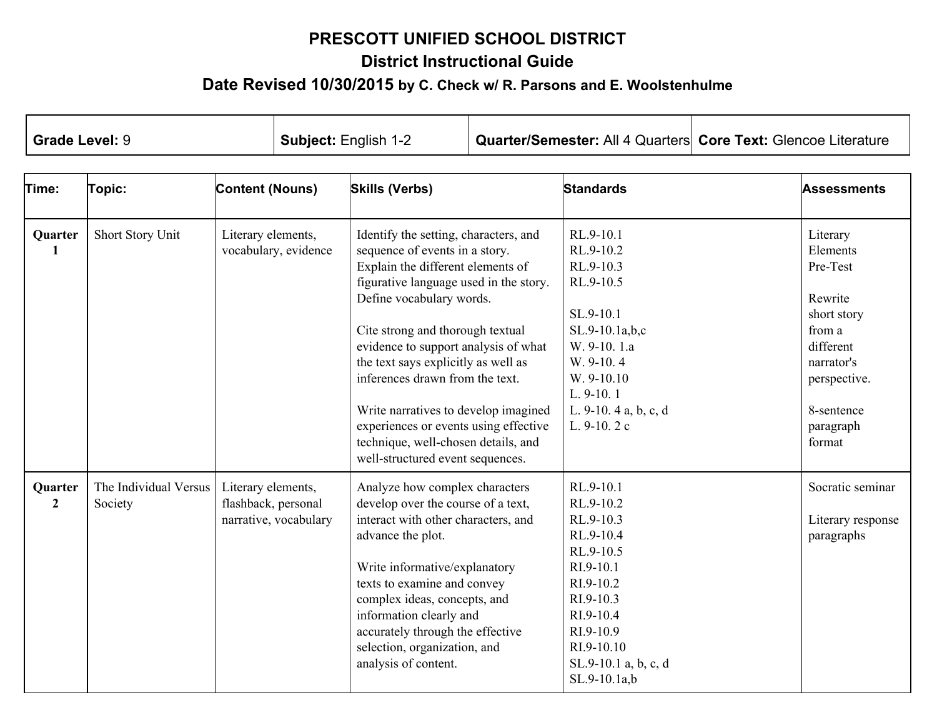## **PRESCOTT UNIFIED SCHOOL DISTRICT District Instructional Guide Date Revised 10/30/2015 <sup>b</sup><sup>y</sup> C. Check w/ R. Parsons and E. Woolstenhulme**

| <b>Grade Level: 9</b>     |                                                                |                                                                    | Subject: English 1-2                                                                                                                                                                                                                                                                                                                                                                                                                                                                                 |                                                                                                                                                                                                                                                                                                                                                         |                                                                                                                                                                                    | Quarter/Semester: All 4 Quarters Core Text: Glencoe Literature                                                                                                                       |                                                                                                                                                      |                                                     |
|---------------------------|----------------------------------------------------------------|--------------------------------------------------------------------|------------------------------------------------------------------------------------------------------------------------------------------------------------------------------------------------------------------------------------------------------------------------------------------------------------------------------------------------------------------------------------------------------------------------------------------------------------------------------------------------------|---------------------------------------------------------------------------------------------------------------------------------------------------------------------------------------------------------------------------------------------------------------------------------------------------------------------------------------------------------|------------------------------------------------------------------------------------------------------------------------------------------------------------------------------------|--------------------------------------------------------------------------------------------------------------------------------------------------------------------------------------|------------------------------------------------------------------------------------------------------------------------------------------------------|-----------------------------------------------------|
| Time:                     | Topic:                                                         | <b>Content (Nouns)</b>                                             |                                                                                                                                                                                                                                                                                                                                                                                                                                                                                                      | <b>Skills (Verbs)</b>                                                                                                                                                                                                                                                                                                                                   |                                                                                                                                                                                    | <b>Standards</b>                                                                                                                                                                     |                                                                                                                                                      | <b>Assessments</b>                                  |
| Quarter<br>$\mathbf{1}$   | Short Story Unit<br>Literary elements,<br>vocabulary, evidence |                                                                    | Identify the setting, characters, and<br>sequence of events in a story.<br>Explain the different elements of<br>figurative language used in the story.<br>Define vocabulary words.<br>Cite strong and thorough textual<br>evidence to support analysis of what<br>the text says explicitly as well as<br>inferences drawn from the text.<br>Write narratives to develop imagined<br>experiences or events using effective<br>technique, well-chosen details, and<br>well-structured event sequences. |                                                                                                                                                                                                                                                                                                                                                         | RL.9-10.1<br>RL.9-10.2<br>RL.9-10.3<br>RL.9-10.5<br>SL.9-10.1<br>$SL.9-10.1a,b,c$<br>W. 9-10. 1.a<br>W. 9-10.4<br>W. 9-10.10<br>L. 9-10.1<br>L. 9-10. 4 a, b, c, d<br>L. $9-10.2c$ |                                                                                                                                                                                      | Literary<br>Elements<br>Pre-Test<br>Rewrite<br>short story<br>from a<br>different<br>narrator's<br>perspective.<br>8-sentence<br>paragraph<br>format |                                                     |
| Quarter<br>$\overline{2}$ | The Individual Versus<br>Society                               | Literary elements,<br>flashback, personal<br>narrative, vocabulary |                                                                                                                                                                                                                                                                                                                                                                                                                                                                                                      | Analyze how complex characters<br>develop over the course of a text,<br>interact with other characters, and<br>advance the plot.<br>Write informative/explanatory<br>texts to examine and convey<br>complex ideas, concepts, and<br>information clearly and<br>accurately through the effective<br>selection, organization, and<br>analysis of content. |                                                                                                                                                                                    | RL.9-10.1<br>RL.9-10.2<br>RL.9-10.3<br>RL.9-10.4<br>RL.9-10.5<br>RI.9-10.1<br>RI.9-10.2<br>RI.9-10.3<br>RI.9-10.4<br>RI.9-10.9<br>RI.9-10.10<br>SL.9-10.1 a, b, c, d<br>SL.9-10.1a,b |                                                                                                                                                      | Socratic seminar<br>Literary response<br>paragraphs |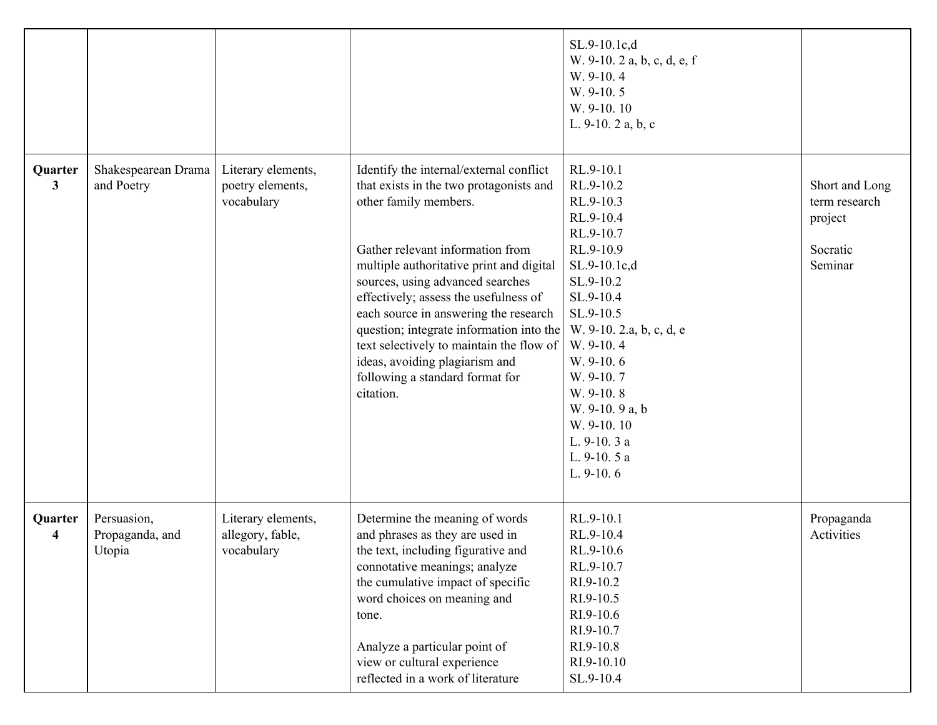|                         |                                          |                                                      |                                                                                                                                                                                                                                                                                                                                                                                                                                                                                             | SL.9-10.1c,d<br>W. 9-10. 2 a, b, c, d, e, f<br>W. 9-10.4<br>W. 9-10.5<br>W. 9-10.10<br>L. $9-10.2$ a, b, c                                                                                                                                                                                        |                                                                   |
|-------------------------|------------------------------------------|------------------------------------------------------|---------------------------------------------------------------------------------------------------------------------------------------------------------------------------------------------------------------------------------------------------------------------------------------------------------------------------------------------------------------------------------------------------------------------------------------------------------------------------------------------|---------------------------------------------------------------------------------------------------------------------------------------------------------------------------------------------------------------------------------------------------------------------------------------------------|-------------------------------------------------------------------|
| Quarter<br>$\mathbf{3}$ | Shakespearean Drama<br>and Poetry        | Literary elements,<br>poetry elements,<br>vocabulary | Identify the internal/external conflict<br>that exists in the two protagonists and<br>other family members.<br>Gather relevant information from<br>multiple authoritative print and digital<br>sources, using advanced searches<br>effectively; assess the usefulness of<br>each source in answering the research<br>question; integrate information into the<br>text selectively to maintain the flow of<br>ideas, avoiding plagiarism and<br>following a standard format for<br>citation. | RL.9-10.1<br>RL.9-10.2<br>RL.9-10.3<br>RL.9-10.4<br>RL.9-10.7<br>RL.9-10.9<br>SL.9-10.1c,d<br>SL.9-10.2<br>SL.9-10.4<br>SL.9-10.5<br>W. 9-10. 2.a, b, c, d, e<br>W. 9-10.4<br>W. 9-10.6<br>W. 9-10.7<br>W. 9-10.8<br>W. 9-10. 9 a, b<br>W. 9-10.10<br>L. 9-10. 3 a<br>L. 9-10. 5 a<br>L. $9-10.6$ | Short and Long<br>term research<br>project<br>Socratic<br>Seminar |
| Quarter<br>4            | Persuasion,<br>Propaganda, and<br>Utopia | Literary elements,<br>allegory, fable,<br>vocabulary | Determine the meaning of words<br>and phrases as they are used in<br>the text, including figurative and<br>connotative meanings; analyze<br>the cumulative impact of specific<br>word choices on meaning and<br>tone.<br>Analyze a particular point of<br>view or cultural experience<br>reflected in a work of literature                                                                                                                                                                  | RL.9-10.1<br>RL.9-10.4<br>RL.9-10.6<br>RL.9-10.7<br>RI.9-10.2<br>RI.9-10.5<br>RI.9-10.6<br>RI.9-10.7<br>RI.9-10.8<br>RI.9-10.10<br>SL.9-10.4                                                                                                                                                      | Propaganda<br>Activities                                          |